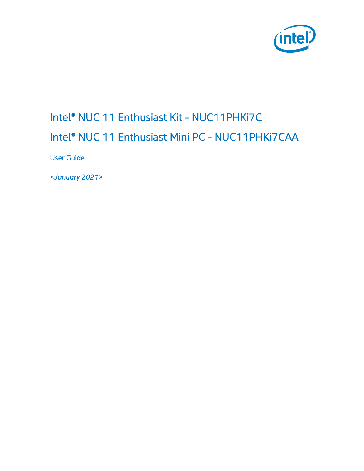

# Intel® NUC 11 Enthusiast Kit - NUC11PHKi7C Intel® NUC 11 Enthusiast Mini PC - NUC11PHKi7CAA

User Guide

*<January 2021>*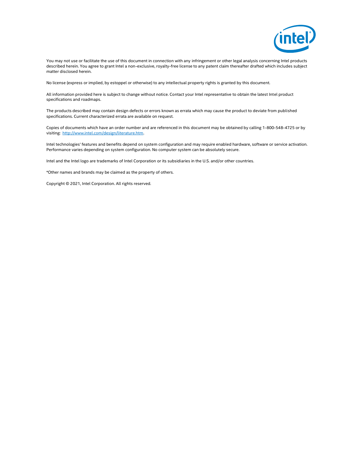

You may not use or facilitate the use of this document in connection with any infringement or other legal analysis concerning Intel products described herein. You agree to grant Intel a non-exclusive, royalty-free license to any patent claim thereafter drafted which includes subject matter disclosed herein.

No license (express or implied, by estoppel or otherwise) to any intellectual property rights is granted by this document.

All information provided here is subject to change without notice. Contact your Intel representative to obtain the latest Intel product specifications and roadmaps.

The products described may contain design defects or errors known as errata which may cause the product to deviate from published specifications. Current characterized errata are available on request.

Copies of documents which have an order number and are referenced in this document may be obtained by calling 1-800-548-4725 or by visiting: [http://www.intel.com/design/literature.htm.](http://www.intel.com/design/literature.htm) 

Intel technologies' features and benefits depend on system configuration and may require enabled hardware, software or service activation. Performance varies depending on system configuration. No computer system can be absolutely secure.

Intel and the Intel logo are trademarks of Intel Corporation or its subsidiaries in the U.S. and/or other countries.

\*Other names and brands may be claimed as the property of others.

Copyright © 2021, Intel Corporation. All rights reserved.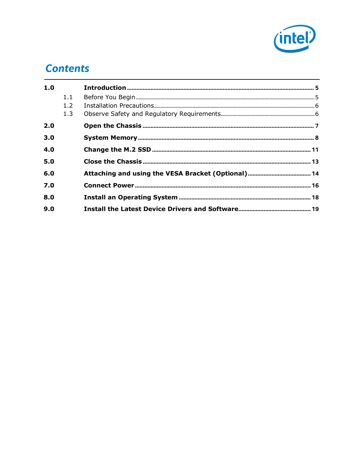

### **Contents**

| 1.0 |                   |  |
|-----|-------------------|--|
|     | 1.1<br>1.2<br>1.3 |  |
| 2.0 |                   |  |
| 3.0 |                   |  |
| 4.0 |                   |  |
| 5.0 |                   |  |
| 6.0 |                   |  |
| 7.0 |                   |  |
| 8.0 |                   |  |
| 9.0 |                   |  |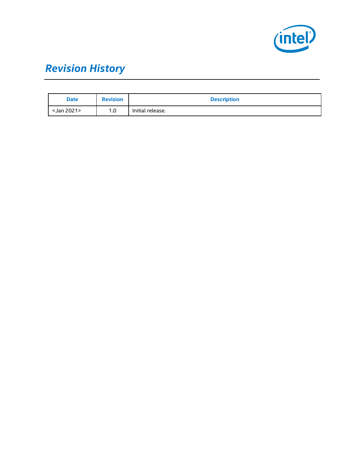

# *Revision History*

| <b>Date</b> | <b>Revision</b> | <b>Description</b> |
|-------------|-----------------|--------------------|
| Jan 2021>   | 1.0             | Initial release.   |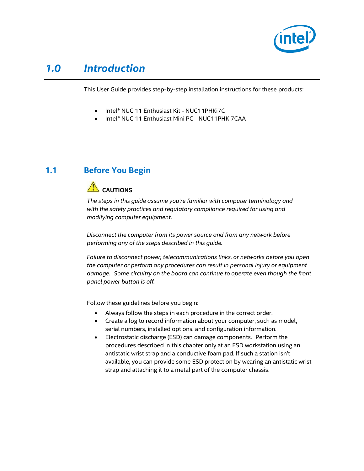

### *1.0 Introduction*

<span id="page-4-0"></span>This User Guide provides step-by-step installation instructions for these products:

- Intel® NUC 11 Enthusiast Kit NUC11PHKi7C
- Intel® NUC 11 Enthusiast Mini PC NUC11PHKi7CAA

### **1.1 Before You Begin**

### <span id="page-4-1"></span>**AUTIONS**

*The steps in this guide assume you're familiar with computer terminology and with the safety practices and regulatory compliance required for using and modifying computer equipment.*

*Disconnect the computer from its power source and from any network before performing any of the steps described in this guide.*

*Failure to disconnect power, telecommunications links, or networks before you open the computer or perform any procedures can result in personal injury or equipment damage. Some circuitry on the board can continue to operate even though the front panel power button is off.*

Follow these guidelines before you begin:

- Always follow the steps in each procedure in the correct order.
- Create a log to record information about your computer, such as model, serial numbers, installed options, and configuration information.
- Electrostatic discharge (ESD) can damage components. Perform the procedures described in this chapter only at an ESD workstation using an antistatic wrist strap and a conductive foam pad. If such a station isn't available, you can provide some ESD protection by wearing an antistatic wrist strap and attaching it to a metal part of the computer chassis.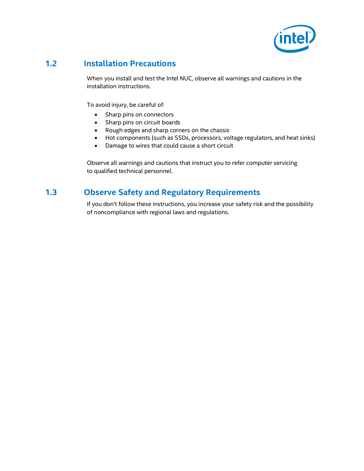

### **1.2 Installation Precautions**

<span id="page-5-0"></span>When you install and test the Intel NUC, observe all warnings and cautions in the installation instructions.

To avoid injury, be careful of:

- Sharp pins on connectors
- Sharp pins on circuit boards
- Rough edges and sharp corners on the chassis
- Hot components (such as SSDs, processors, voltage regulators, and heat sinks)
- Damage to wires that could cause a short circuit

<span id="page-5-1"></span>Observe all warnings and cautions that instruct you to refer computer servicing to qualified technical personnel.

### **1.3 Observe Safety and Regulatory Requirements**

If you don't follow these instructions, you increase your safety risk and the possibility of noncompliance with regional laws and regulations.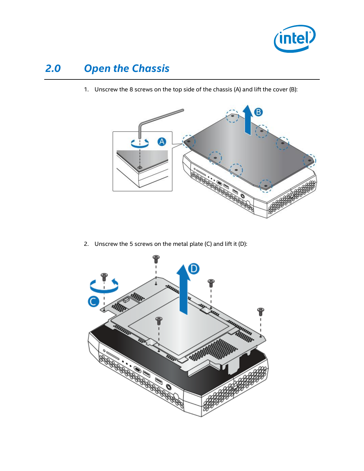

## *2.0 Open the Chassis*

<span id="page-6-0"></span>1. Unscrew the 8 screws on the top side of the chassis (A) and lift the cover (B):



2. Unscrew the 5 screws on the metal plate (C) and lift it (D):

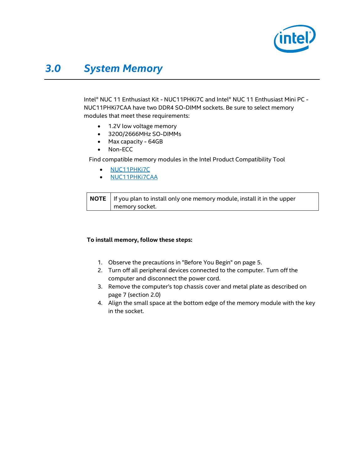

### <span id="page-7-0"></span>*3.0 System Memory*

Intel® NUC 11 Enthusiast Kit - NUC11PHKi7C and Intel® NUC 11 Enthusiast Mini PC - NUC11PHKi7CAA have two DDR4 SO-DIMM sockets. Be sure to select memory modules that meet these requirements:

- 1.2V low voltage memory
- 3200/2666MHz SO-DIMMs
- Max capacity 64GB
- Non-ECC

Find compatible memory modules in the Intel Product Compatibility Tool

- [NUC11PHKi7C](http://compatibleproducts.intel.com/ProductDetails?EPMID=202783)
- [NUC11PHKi7CAA](http://compatibleproducts.intel.com/ProductDetails?EPMID=195961)

**NOTE** If you plan to install only one memory module, install it in the upper memory socket.

#### **To install memory, follow these steps:**

- 1. Observe the precautions in "Before You Begin" on page 5.
- 2. Turn off all peripheral devices connected to the computer. Turn off the computer and disconnect the power cord.
- 3. Remove the computer's top chassis cover and metal plate as described on page 7 (section 2.0)
- 4. Align the small space at the bottom edge of the memory module with the key in the socket.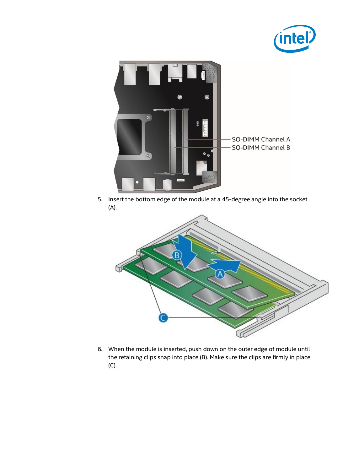



5. Insert the bottom edge of the module at a 45-degree angle into the socket (A).



6. When the module is inserted, push down on the outer edge of module until the retaining clips snap into place (B). Make sure the clips are firmly in place (C).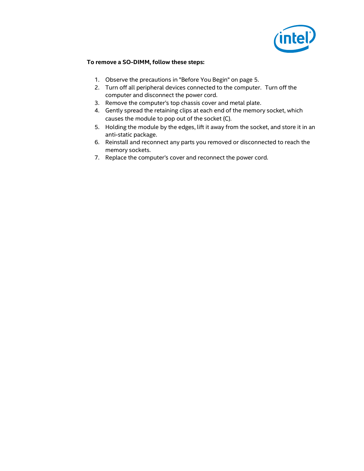

#### **To remove a SO-DIMM, follow these steps:**

- 1. Observe the precautions in "Before You Begin" on page 5.
- 2. Turn off all peripheral devices connected to the computer. Turn off the computer and disconnect the power cord.
- 3. Remove the computer's top chassis cover and metal plate.
- 4. Gently spread the retaining clips at each end of the memory socket, which causes the module to pop out of the socket (C).
- 5. Holding the module by the edges, lift it away from the socket, and store it in an anti-static package.
- 6. Reinstall and reconnect any parts you removed or disconnected to reach the memory sockets.
- 7. Replace the computer's cover and reconnect the power cord.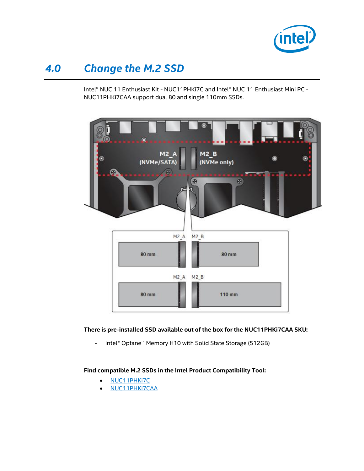

### *4.0 Change the M.2 SSD*

<span id="page-10-0"></span>Intel® NUC 11 Enthusiast Kit - NUC11PHKi7C and Intel® NUC 11 Enthusiast Mini PC - NUC11PHKi7CAA support dual 80 and single 110mm SSDs.



#### **There is pre-installed SSD available out of the box for the NUC11PHKi7CAA SKU:**

- Intel® Optane™ Memory H10 with Solid State Storage (512GB)

#### **Find compatible M.2 SSDs in the Intel Product Compatibility Tool:**

- [NUC11PHKi7C](http://compatibleproducts.intel.com/ProductDetails?EPMID=202783)
- [NUC11PHKi7CAA](http://compatibleproducts.intel.com/ProductDetails?EPMID=195961)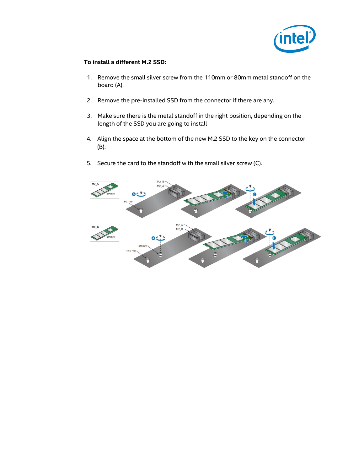

#### **To install a different M.2 SSD:**

- 1. Remove the small silver screw from the 110mm or 80mm metal standoff on the board (A).
- 2. Remove the pre-installed SSD from the connector if there are any.
- 3. Make sure there is the metal standoff in the right position, depending on the length of the SSD you are going to install
- 4. Align the space at the bottom of the new M.2 SSD to the key on the connector (B).
- 5. Secure the card to the standoff with the small silver screw (C).

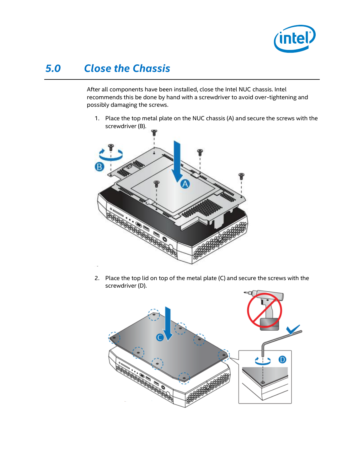

### *5.0 Close the Chassis*

<span id="page-12-0"></span>After all components have been installed, close the Intel NUC chassis. Intel recommends this be done by hand with a screwdriver to avoid over-tightening and possibly damaging the screws.

1. Place the top metal plate on the NUC chassis (A) and secure the screws with the screwdriver (B).



2. Place the top lid on top of the metal plate (C) and secure the screws with the screwdriver (D).

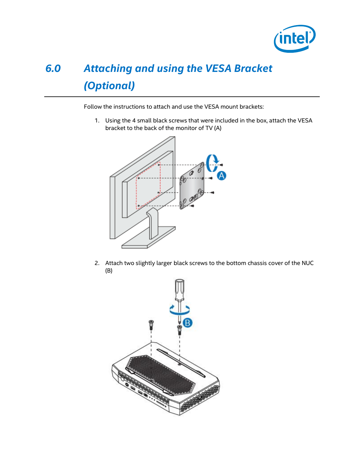

# <span id="page-13-0"></span>*6.0 Attaching and using the VESA Bracket (Optional)*

Follow the instructions to attach and use the VESA mount brackets:

1. Using the 4 small black screws that were included in the box, attach the VESA bracket to the back of the monitor of TV (A)



2. Attach two slightly larger black screws to the bottom chassis cover of the NUC (B)

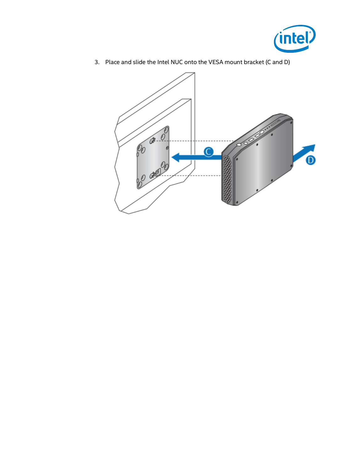



3. Place and slide the Intel NUC onto the VESA mount bracket (C and D)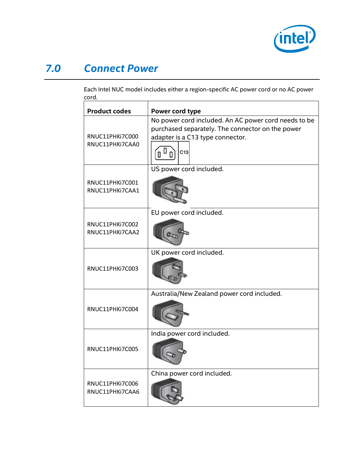

### *7.0 Connect Power*

<span id="page-15-0"></span>Each Intel NUC model includes either a region-specific AC power cord or no AC power cord.

| <b>Product codes</b>               | Power cord type                                                                                                                                          |
|------------------------------------|----------------------------------------------------------------------------------------------------------------------------------------------------------|
| RNUC11PHKi7C000<br>RNUC11PHKi7CAA0 | No power cord included. An AC power cord needs to be<br>purchased separately. The connector on the power<br>adapter is a C13 type connector.<br>Ш<br>C13 |
| RNUC11PHKi7C001<br>RNUC11PHKi7CAA1 | US power cord included.                                                                                                                                  |
| RNUC11PHKi7C002<br>RNUC11PHKi7CAA2 | EU power cord included.                                                                                                                                  |
| RNUC11PHKi7C003                    | UK power cord included.                                                                                                                                  |
| RNUC11PHKi7C004                    | Australia/New Zealand power cord included.                                                                                                               |
| RNUC11PHKi7C005                    | India power cord included.                                                                                                                               |
| RNUC11PHKi7C006<br>RNUC11PHKi7CAA6 | China power cord included.                                                                                                                               |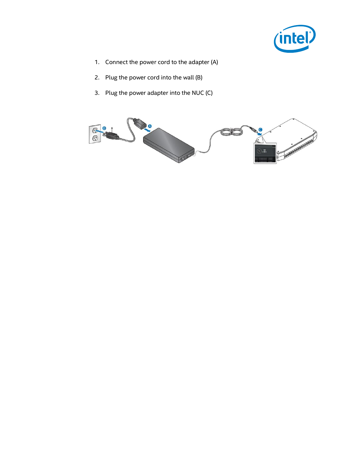

- 1. Connect the power cord to the adapter (A)
- 2. Plug the power cord into the wall (B)
- 3. Plug the power adapter into the NUC (C)

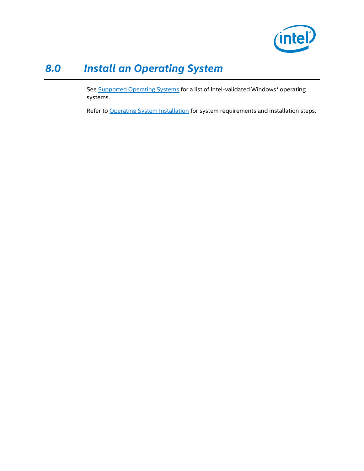

## *8.0 Install an Operating System*

<span id="page-17-0"></span>See **Supported Operating Systems** for a list of Intel-validated Windows\* operating systems.

Refer t[o Operating System Installation](https://www.intel.com/content/www/us/en/support/articles/000005471/mini-pcs.html) for system requirements and installation steps.